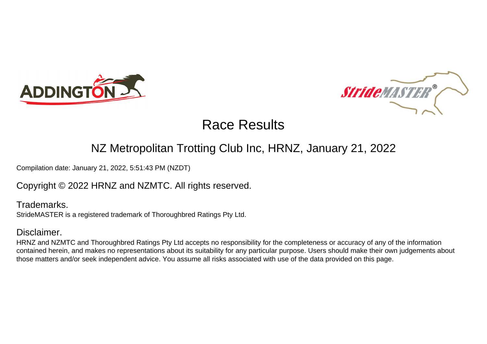



### NZ Metropolitan Trotting Club Inc, HRNZ, January 21, 2022

Compilation date: January 21, 2022, 5:51:43 PM (NZDT)

### Copyright © 2022 HRNZ and NZMTC. All rights reserved.

Trademarks. StrideMASTER is a registered trademark of Thoroughbred Ratings Pty Ltd.

### Disclaimer.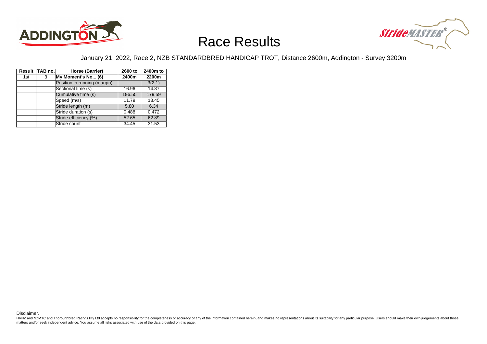



#### January 21, 2022, Race 2, NZB STANDARDBRED HANDICAP TROT, Distance 2600m, Addington - Survey 3200m

|     | Result TAB no. | Horse (Barrier)              | 2600 to | 2400m to |
|-----|----------------|------------------------------|---------|----------|
| 1st | 3              | My Moment's No (6)           | 2400m   | 2200m    |
|     |                | Position in running (margin) |         | 3(2.1)   |
|     |                | Sectional time (s)           | 16.96   | 14.87    |
|     |                | Cumulative time (s)          | 196.55  | 179.59   |
|     |                | Speed (m/s)                  | 11.79   | 13.45    |
|     |                | Stride length (m)            | 5.80    | 6.34     |
|     |                | Stride duration (s)          | 0.488   | 0.472    |
|     |                | Stride efficiency (%)        | 52.65   | 62.89    |
|     |                | Stride count                 | 34.45   | 31.53    |

Disclaimer.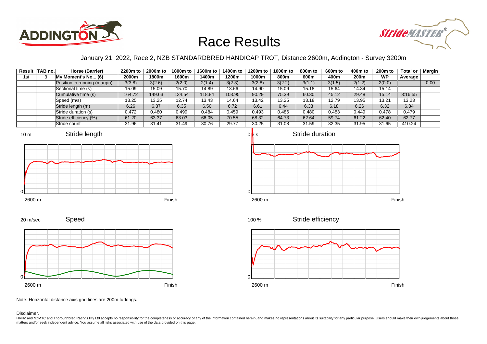



### January 21, 2022, Race 2, NZB STANDARDBRED HANDICAP TROT, Distance 2600m, Addington - Survey 3200m

|     | Result   TAB no. | Horse (Barrier)              | 2200m to | 2000m to | 1800m to | 1600m to | 1400m to | 1200m to | 1000m to | 800m to | 600m to | 400m to | 200 <sub>m</sub> to | <b>Total or</b> | <b>Margin</b> |
|-----|------------------|------------------------------|----------|----------|----------|----------|----------|----------|----------|---------|---------|---------|---------------------|-----------------|---------------|
| 1st |                  | My Moment's No (6)           | 2000m    | 1800m    | 1600m    | l 400m   | 1200m    | 1000m    | 800m     | 600m    | 400m    | 200m    | <b>WP</b>           | Average         |               |
|     |                  | Position in running (margin) | 3(3.8)   | 3(2.6)   | 2(2.0)   | 2(1.4)   | 3(2.3)   | 3(2.8)   | 3(2.2)   | 3(1.1)  | 3(1.5)  | 2(1.2)  | 2(0.0)              |                 | 0.00          |
|     |                  | Sectional time (s)           | 15.09    | 15.09    | 15.70    | 14.89    | 13.66    | 14.90    | 15.09    | 15.18   | 15.64   | 14.34   | 15.14               |                 |               |
|     |                  | Cumulative time (s)          | 164.72   | 149.63   | 134.54   | 118.84   | 103.95   | 90.29    | 75.39    | 60.30   | 45.12   | 29.48   | 15.14               | 3:16.55         |               |
|     |                  | Speed (m/s)                  | 13.25    | 13.25    | 12.74    | 13.43    | 14.64    | 13.42    | 13.25    | 13.18   | 12.79   | 13.95   | 13.21               | 13.23           |               |
|     |                  | Stride length (m)            | 6.26     | 6.37     | 6.35     | 6.50     | 6.72     | 6.61     | 6.44     | 6.33    | 6.18    | 6.26    | 6.32                | 6.34            |               |
|     |                  | Stride duration (s)          | 0.472    | 0.480    | 0.499    | 0.484    | 0.459    | 0.493    | 0.486    | 0.480   | 0.483   | 0.449   | 0.478               | 0.479           |               |
|     |                  | Stride efficiency (%)        | 61.20    | 63.37    | 63.03    | 66.05    | 70.55    | 68.32    | 64.73    | 62.64   | 59.74   | 61.22   | 62.40               | 62.77           |               |
|     |                  | Stride count                 | 31.96    | 31.41    | 31.49    | 30.76    | 29.77    | 30.25    | 31.08    | 31.59   | 32.35   | 31.95   | 31.65               | 410.24          |               |













Note: Horizontal distance axis grid lines are 200m furlongs.

#### Disclaimer.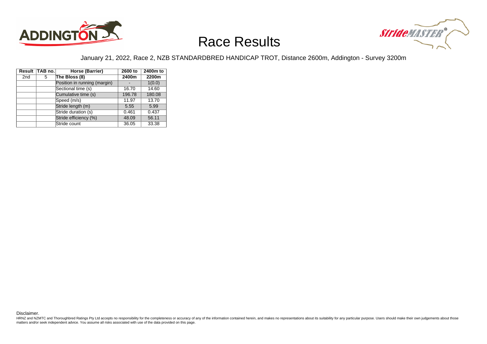



#### January 21, 2022, Race 2, NZB STANDARDBRED HANDICAP TROT, Distance 2600m, Addington - Survey 3200m

|                 | Result TAB no. | Horse (Barrier)              | 2600 to | 2400m to |
|-----------------|----------------|------------------------------|---------|----------|
| 2 <sub>nd</sub> | 5              | The Bloss (8)                | 2400m   | 2200m    |
|                 |                | Position in running (margin) |         | 1(0.0)   |
|                 |                | Sectional time (s)           | 16.70   | 14.60    |
|                 |                | Cumulative time (s)          | 196.78  | 180.08   |
|                 |                | Speed (m/s)                  | 11.97   | 13.70    |
|                 |                | Stride length (m)            | 5.55    | 5.99     |
|                 |                | Stride duration (s)          | 0.461   | 0.437    |
|                 |                | Stride efficiency (%)        | 48.09   | 56.11    |
|                 |                | Stride count                 | 36.05   | 33.38    |

Disclaimer.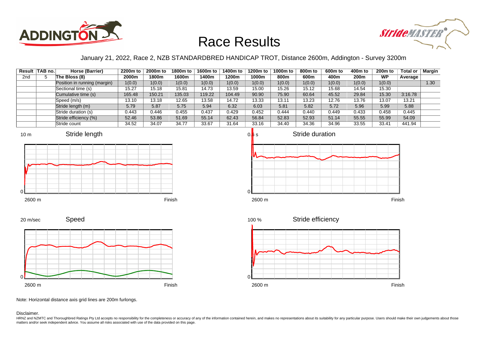



### January 21, 2022, Race 2, NZB STANDARDBRED HANDICAP TROT, Distance 2600m, Addington - Survey 3200m

|                 | Result   TAB no. | Horse (Barrier)              | 2200m to | 2000m to | 1800m to | 1600m to | 1400m to | 1200m to | 1000m to | 800m to | 600m to | 400m to | 200 <sub>m</sub> to | <b>Total or</b> | <b>Margin</b> |
|-----------------|------------------|------------------------------|----------|----------|----------|----------|----------|----------|----------|---------|---------|---------|---------------------|-----------------|---------------|
| 2 <sub>nd</sub> |                  | The Bloss (8)                | 2000m    | 1800m    | 1600m    | 400m     | 1200m    | 1000m    | 800m     | 600m    | 400m    | 200m    | <b>WP</b>           | Average         |               |
|                 |                  | Position in running (margin) | 1(0.0)   | 1(0.0)   | 1(0.0)   | 1(0.0)   | 1(0.0)   | 1(0.0)   | 1(0.0)   | 1(0.0)  | 1(0.0)  | 1(0.0)  | 1(0.0)              |                 | 1.30          |
|                 |                  | Sectional time (s)           | 15.27    | 15.18    | 15.81    | 14.73    | 13.59    | 15.00    | 15.26    | 15.12   | 15.68   | 14.54   | 15.30               |                 |               |
|                 |                  | Cumulative time (s)          | 165.48   | 150.21   | 135.03   | 119.22   | 104.49   | 90.90    | 75.90    | 60.64   | 45.52   | 29.84   | 15.30               | 3:16.78         |               |
|                 |                  | Speed (m/s)                  | 13.10    | 13.18    | 12.65    | 13.58    | 14.72    | 13.33    | 13.11    | 13.23   | 12.76   | 13.76   | 13.07               | 13.21           |               |
|                 |                  | Stride length (m)            | 5.79     | 5.87     | 5.75     | 5.94     | 6.32     | 6.03     | 5.81     | 5.82    | 5.72    | 5.96    | 5.99                | 5.88            |               |
|                 |                  | Stride duration (s)          | 0.443    | 0.446    | 0.455    | 0.437    | 0.429    | 0.452    | 0.444    | 0.440   | 0.449   | 0.433   | 0.458               | 0.445           |               |
|                 |                  | Stride efficiency (%)        | 52.46    | 53.86    | 51.69    | 55.14    | 62.43    | 56.84    | 52.83    | 52.93   | 51.14   | 55.55   | 55.99               | 54.09           |               |
|                 |                  | Stride count                 | 34.52    | 34.07    | 34.77    | 33.67    | 31.64    | 33.16    | 34.40    | 34.36   | 34.96   | 33.55   | 33.41               | 441.94          |               |











Note: Horizontal distance axis grid lines are 200m furlongs.

#### Disclaimer.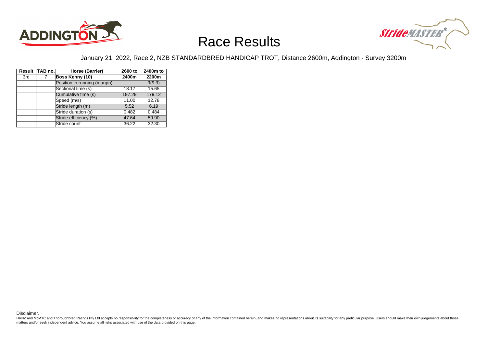



#### January 21, 2022, Race 2, NZB STANDARDBRED HANDICAP TROT, Distance 2600m, Addington - Survey 3200m

|     | Result TAB no. | Horse (Barrier)              | 2600 to | 2400m to |
|-----|----------------|------------------------------|---------|----------|
| 3rd | 7              | Boss Kenny (10)              | 2400m   | 2200m    |
|     |                | Position in running (margin) |         | 9(9.3)   |
|     |                | Sectional time (s)           | 18.17   | 15.65    |
|     |                | Cumulative time (s)          | 197.29  | 179.12   |
|     |                | Speed (m/s)                  | 11.00   | 12.78    |
|     |                | Stride length (m)            | 5.52    | 6.19     |
|     |                | Stride duration (s)          | 0.482   | 0.484    |
|     |                | Stride efficiency (%)        | 47.64   | 59.90    |
|     |                | Stride count                 | 36.22   | 32.30    |

Disclaimer.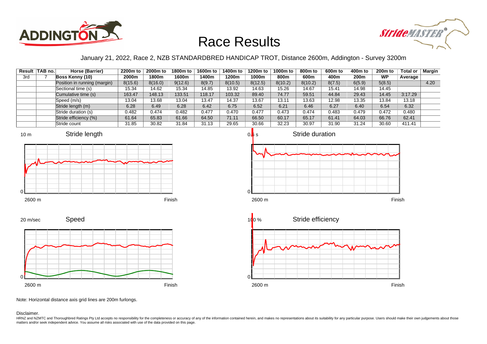



### January 21, 2022, Race 2, NZB STANDARDBRED HANDICAP TROT, Distance 2600m, Addington - Survey 3200m

|     | Result   TAB no. | Horse (Barrier)              | 2200m to | 2000m to | 1800m to | 1600m to | 1400m to | 1200m to | 1000m to | 800m to | 600m to | 400m to | <b>200m to</b> | <b>Total or</b> | Margin |
|-----|------------------|------------------------------|----------|----------|----------|----------|----------|----------|----------|---------|---------|---------|----------------|-----------------|--------|
| 3rd |                  | Boss Kenny (10)              | 2000m    | 1800m    | 1600m    | l 400m   | 1200m    | 1000m    | 800m     | 600m    | 400m    | 200m    | <b>WP</b>      | Average         |        |
|     |                  | Position in running (margin) | 8(15.6)  | 8(16.0)  | 9(12.6)  | 8(9.7)   | 8(10.5)  | 8(12.5)  | 8(10.2)  | 8(10.2) | 8(7.5)  | 6(5.9)  | 5(8.5)         |                 | 4.20   |
|     |                  | Sectional time (s)           | 15.34    | 14.62    | 15.34    | 14.85    | 13.92    | 14.63    | 15.26    | 14.67   | 15.41   | 14.98   | 14.45          |                 |        |
|     |                  | Cumulative time (s)          | 163.47   | 148.13   | 133.51   | 118.17   | 103.32   | 89.40    | 74.77    | 59.51   | 44.84   | 29.43   | 14.45          | 3:17.29         |        |
|     |                  | Speed (m/s)                  | 13.04    | 13.68    | 13.04    | 13.47    | 14.37    | 13.67    | 13.11    | 13.63   | 12.98   | 13.35   | 13.84          | 13.18           |        |
|     |                  | Stride length (m)            | 6.28     | 6.49     | 6.28     | 6.42     | 6.75     | 6.52     | 6.21     | 6.46    | 6.27    | 6.40    | 6.54           | 6.32            |        |
|     |                  | Stride duration (s)          | 0.482    | 0.474    | 0.482    | 0.477    | 0.470    | 0.477    | 0.473    | 0.474   | 0.483   | 0.479   | 0.472          | 0.480           |        |
|     |                  | Stride efficiency (%)        | 61.64    | 65.83    | 61.66    | 64.50    | 71.11    | 66.50    | 60.17    | 65.17   | 61.41   | 64.03   | 66.76          | 62.41           |        |
|     |                  | Stride count                 | 31.85    | 30.82    | 31.84    | 31.13    | 29.65    | 30.66    | 32.23    | 30.97   | 31.90   | 31.24   | 30.60          | 411.41          |        |











Note: Horizontal distance axis grid lines are 200m furlongs.

Disclaimer.

10 m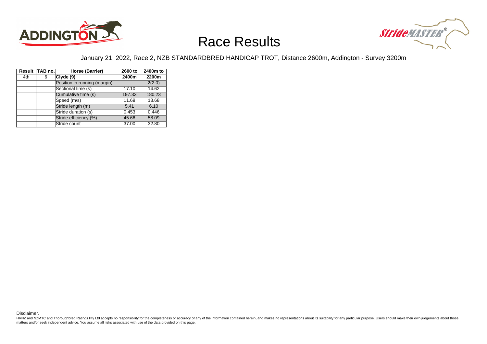



#### January 21, 2022, Race 2, NZB STANDARDBRED HANDICAP TROT, Distance 2600m, Addington - Survey 3200m

|     | Result TAB no. | Horse (Barrier)              | 2600 to | 2400m to |
|-----|----------------|------------------------------|---------|----------|
| 4th | 6              | Clvde(9)                     | 2400m   | 2200m    |
|     |                | Position in running (margin) |         | 2(2.0)   |
|     |                | Sectional time (s)           | 17.10   | 14.62    |
|     |                | Cumulative time (s)          | 197.33  | 180.23   |
|     |                | Speed (m/s)                  | 11.69   | 13.68    |
|     |                | Stride length (m)            | 5.41    | 6.10     |
|     |                | Stride duration (s)          | 0.453   | 0.446    |
|     |                | Stride efficiency (%)        | 45.66   | 58.09    |
|     |                | Stride count                 | 37.00   | 32.80    |

Disclaimer.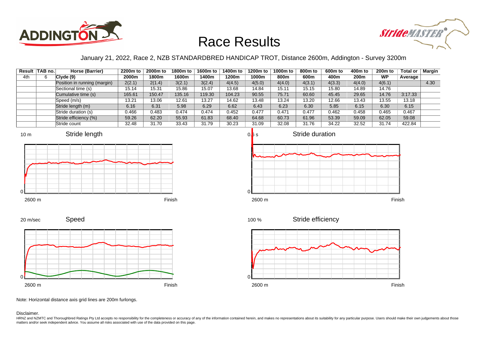



### January 21, 2022, Race 2, NZB STANDARDBRED HANDICAP TROT, Distance 2600m, Addington - Survey 3200m

|     | Result   TAB no. | Horse (Barrier)              | 2200m to | 2000m to | 1800m to | 1600m to | 1400m to | 1200m to | 1000m to | 800m to | 600m to | 400m to | <b>200m to</b> | <b>Total or</b> | Margin |
|-----|------------------|------------------------------|----------|----------|----------|----------|----------|----------|----------|---------|---------|---------|----------------|-----------------|--------|
| 4th |                  | Clyde(9)                     | 2000m    | 1800m    | 1600m    | l 400m   | 1200m    | 1000m    | 800m     | 600m    | 400m    | 200m    | <b>WP</b>      | Average         |        |
|     |                  | Position in running (margin) | 2(2.1)   | 2(1.4)   | 3(2.1)   | 3(2.4)   | 4(4.5)   | 4(5.0)   | 4(4.0)   | 4(3.1)  | 4(3.3)  | 4(4.0)  | 4(6.1)         |                 | 4.30   |
|     |                  | Sectional time (s)           | 15.14    | 15.31    | 15.86    | 15.07    | 13.68    | 14.84    | 15.11    | 15.15   | 15.80   | 14.89   | 14.76          |                 |        |
|     |                  | Cumulative time (s)          | 165.61   | 150.47   | 135.16   | 19.30    | 104.23   | 90.55    | 75.71    | 60.60   | 45.45   | 29.65   | 14.76          | 3:17.33         |        |
|     |                  | Speed (m/s)                  | 13.21    | 13.06    | 12.61    | 13.27    | 14.62    | 13.48    | 13.24    | 13.20   | 12.66   | 13.43   | 13.55          | 13.18           |        |
|     |                  | Stride length (m)            | 6.16     | 6.31     | 5.98     | 6.29     | 6.62     | 6.43     | 6.23     | 6.30    | 5.85    | 6.15    | 6.30           | 6.15            |        |
|     |                  | Stride duration (s)          | 0.466    | 0.483    | 0.474    | 0.474    | 0.452    | 0.477    | 0.471    | 0.477   | 0.462   | 0.458   | 0.465          | 0.467           |        |
|     |                  | Stride efficiency (%)        | 59.26    | 62.20    | 55.93    | 61.83    | 68.40    | 64.68    | 60.73    | 61.96   | 53.39   | 59.09   | 62.05          | 59.08           |        |
|     |                  | Stride count                 | 32.48    | 31.70    | 33.43    | 31.79    | 30.23    | 31.09    | 32.08    | 31.76   | 34.22   | 32.52   | 31.74          | 422.84          |        |







Speed 20 m/sec

2600 m Finish

Stride efficiency 100 %



Note: Horizontal distance axis grid lines are 200m furlongs.

Disclaimer.

0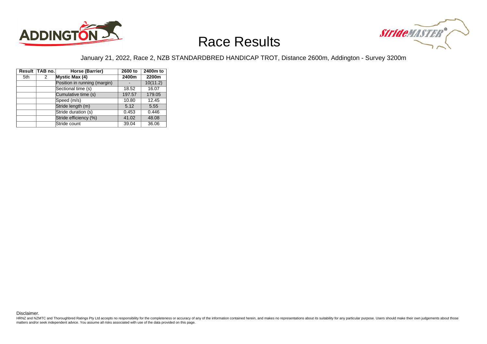



#### January 21, 2022, Race 2, NZB STANDARDBRED HANDICAP TROT, Distance 2600m, Addington - Survey 3200m

|     | Result TAB no. | Horse (Barrier)              | 2600 to | 2400m to |
|-----|----------------|------------------------------|---------|----------|
| 5th | 2              | <b>Mystic Max (4)</b>        | 2400m   | 2200m    |
|     |                | Position in running (margin) |         | 10(11.2) |
|     |                | Sectional time (s)           | 18.52   | 16.07    |
|     |                | Cumulative time (s)          | 197.57  | 179.05   |
|     |                | Speed (m/s)                  | 10.80   | 12.45    |
|     |                | Stride length (m)            | 5.12    | 5.55     |
|     |                | Stride duration (s)          | 0.453   | 0.446    |
|     |                | Stride efficiency (%)        | 41.02   | 48.08    |
|     |                | Stride count                 | 39.04   | 36.06    |

Disclaimer.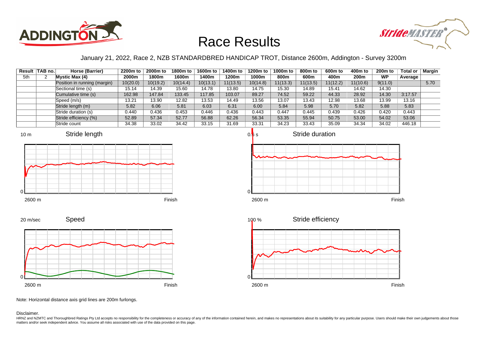



### January 21, 2022, Race 2, NZB STANDARDBRED HANDICAP TROT, Distance 2600m, Addington - Survey 3200m

|     | Result   TAB no. | Horse (Barrier)              | 2200m to | 2000m to | 1800m to | 1600m to | 1400m to | 1200m to | 1000m to | 800m to  | 600m to  | 400m to  | 200 <sub>m</sub> to | Total or | Margin |
|-----|------------------|------------------------------|----------|----------|----------|----------|----------|----------|----------|----------|----------|----------|---------------------|----------|--------|
| 5th |                  | <b>Mystic Max (4)</b>        | 2000m    | 1800m    | 1600m    | l 400m   | 1200m    | 1000m    | 800m     | 600m     | 400m     | 200m     | <b>WP</b>           | Average  |        |
|     |                  | Position in running (margin) | 10(20.0) | 10(19.2) | 10(14.4) | 10(13.1) | 11(13.5) | 10(14.8) | 11(13.3) | 11(13.5) | 11(12.2) | 11(10.6) | 9(11.0)             |          | 5.70   |
|     |                  | Sectional time (s)           | 15.14    | 14.39    | 15.60    | 14.78    | 13.80    | 14.75    | 15.30    | 14.89    | 15.41    | 14.62    | 14.30               |          |        |
|     |                  | Cumulative time (s)          | 162.98   | 147.84   | 133.45   | 117.85   | 103.07   | 89.27    | 74.52    | 59.22    | 44.33    | 28.92    | 14.30               | 3:17.57  |        |
|     |                  | Speed (m/s)                  | 13.21    | 13.90    | 12.82    | 13.53    | 14.49    | 13.56    | 13.07    | 13.43    | 12.98    | 13.68    | 13.99               | 13.16    |        |
|     |                  | Stride length (m)            | 5.82     | 6.06     | 5.81     | 6.03     | 6.31     | 6.00     | 5.84     | 5.98     | 5.70     | 5.82     | 5.88                | 5.83     |        |
|     |                  | Stride duration (s)          | 0.440    | 0.436    | 0.453    | 0.446    | 0.436    | 0.443    | 0.447    | 0.445    | 0.439    | 0.426    | 0.420               | 0.443    |        |
|     |                  | Stride efficiency (%)        | 52.89    | 57.34    | 52.77    | 56.88    | 62.26    | 56.34    | 53.35    | 55.94    | 50.75    | 53.00    | 54.02               | 53.06    |        |
|     |                  | Stride count                 | 34.38    | 33.02    | 34.42    | 33.15    | 31.69    | 33.31    | 34.23    | 33.43    | 35.09    | 34.34    | 34.02               | 446.18   |        |











Note: Horizontal distance axis grid lines are 200m furlongs.

#### Disclaimer.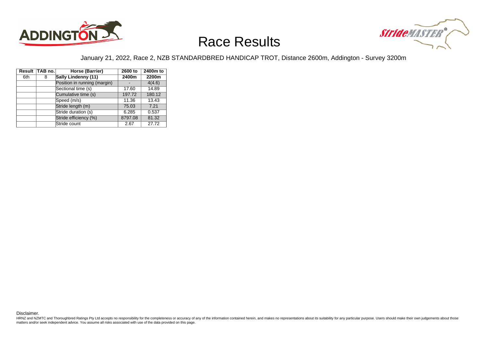



#### January 21, 2022, Race 2, NZB STANDARDBRED HANDICAP TROT, Distance 2600m, Addington - Survey 3200m

|     | Result TAB no. | Horse (Barrier)              | 2600 to | 2400m to |
|-----|----------------|------------------------------|---------|----------|
| 6th | 8              | Sally Lindenny (11)          | 2400m   | 2200m    |
|     |                | Position in running (margin) |         | 4(4.6)   |
|     |                | Sectional time (s)           | 17.60   | 14.89    |
|     |                | Cumulative time (s)          | 197.72  | 180.12   |
|     |                | Speed (m/s)                  | 11.36   | 13.43    |
|     |                | Stride length (m)            | 75.03   | 7.21     |
|     |                | Stride duration (s)          | 6.285   | 0.537    |
|     |                | Stride efficiency (%)        | 8797.08 | 81.32    |
|     |                | Stride count                 | 2.67    | 27.72    |

Disclaimer.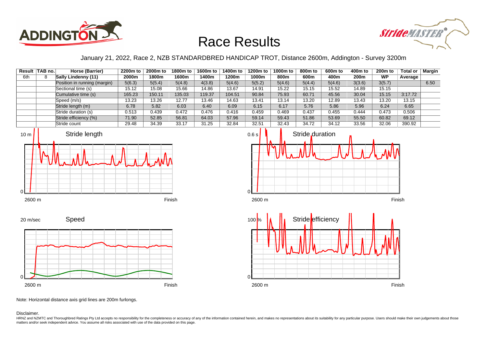



January 21, 2022, Race 2, NZB STANDARDBRED HANDICAP TROT, Distance 2600m, Addington - Survey 3200m

|     | Result TAB no. | Horse (Barrier)              | 2200m to | 2000m to | 1800m to | 1600m to | 1400m to | 1200m to | 1000m to | 800m to | 600m to | 400m to | 200 <sub>m</sub> to | Total or | Margin |
|-----|----------------|------------------------------|----------|----------|----------|----------|----------|----------|----------|---------|---------|---------|---------------------|----------|--------|
| 6th |                | Sally Lindenny (11)          | 2000m    | 1800m    | 1600m    | l 400m   | 1200m    | 1000m    | 800m     | 600m    | 400m    | 200m    | <b>WP</b>           | Average  |        |
|     |                | Position in running (margin) | 5(6.3)   | 5(5.4)   | 5(4.8)   | 4(3.8)   | 5(4.6)   | 5(5.2)   | 5(4.6)   | 5(4.4)  | 5(4.6)  | 3(3.6)  | 3(5.7)              |          | 6.50   |
|     |                | Sectional time (s)           | 15.12    | 15.08    | 15.66    | 14.86    | 13.67    | 14.91    | 15.22    | 15.15   | 15.52   | 14.89   | 15.15               |          |        |
|     |                | Cumulative time (s)          | 165.23   | 150.11   | 135.03   | 119.37   | 104.51   | 90.84    | 75.93    | 60.71   | 45.56   | 30.04   | 15.15               | 3:17.72  |        |
|     |                | Speed (m/s)                  | 13.23    | 13.26    | 12.77    | 13.46    | 14.63    | 13.41    | 13.14    | 13.20   | 12.89   | 13.43   | 13.20               | 13.15    |        |
|     |                | Stride length (m)            | 6.78     | 5.82     | 6.03     | 6.40     | 6.09     | 6.15     | 6.17     | 5.76    | 5.86    | 5.96    | 6.24                | 6.65     |        |
|     |                | Stride duration (s)          | 0.513    | 0.439    | 0.472    | 0.476    | 0.416    | 0.459    | 0.469    | 0.437   | 0.455   | 0.444   | 0.473               | 0.506    |        |
|     |                | Stride efficiency (%)        | 71.90    | 52.85    | 56.81    | 64.03    | 57.96    | 59.14    | 59.43    | 51.86   | 53.69   | 55.50   | 60.82               | 69.12    |        |
|     |                | Stride count                 | 29.48    | 34.39    | 33.17    | 31.25    | 32.84    | 32.51    | 32.43    | 34.72   | 34.12   | 33.56   | 32.06               | 390.92   |        |









Note: Horizontal distance axis grid lines are 200m furlongs.

#### Disclaimer.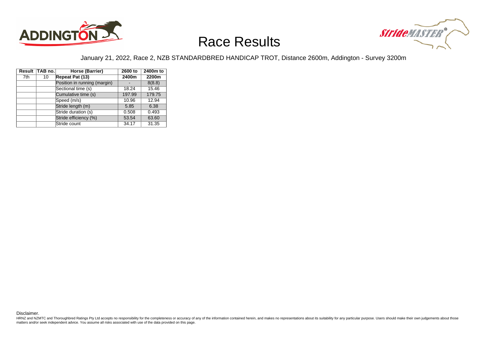



#### January 21, 2022, Race 2, NZB STANDARDBRED HANDICAP TROT, Distance 2600m, Addington - Survey 3200m

|     | Result TAB no. | Horse (Barrier)              | 2600 to | 2400m to |
|-----|----------------|------------------------------|---------|----------|
| 7th | 10             | Repeat Pat (13)              | 2400m   | 2200m    |
|     |                | Position in running (margin) |         | 8(8.8)   |
|     |                | Sectional time (s)           | 18.24   | 15.46    |
|     |                | Cumulative time (s)          | 197.99  | 179.75   |
|     |                | Speed (m/s)                  | 10.96   | 12.94    |
|     |                | Stride length (m)            | 5.85    | 6.38     |
|     |                | Stride duration (s)          | 0.508   | 0.493    |
|     |                | Stride efficiency (%)        | 53.54   | 63.60    |
|     |                | Stride count                 | 34.17   | 31.35    |

Disclaimer.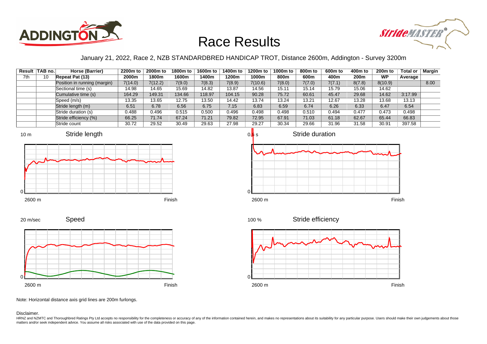



### January 21, 2022, Race 2, NZB STANDARDBRED HANDICAP TROT, Distance 2600m, Addington - Survey 3200m

|     | Result   TAB no. | Horse (Barrier)              | 2200m to | 2000m to | 1800m to | 1600m to | 1400m to | 1200m to | 1000m to | 800m to | 600m to | 400m to | 200 <sub>m</sub> to | Total or | <b>Margin</b> |
|-----|------------------|------------------------------|----------|----------|----------|----------|----------|----------|----------|---------|---------|---------|---------------------|----------|---------------|
| 7th | 10               | Repeat Pat (13)              | 2000m    | 1800m    | 1600m    | l 400m   | 1200m    | 1000m    | 800m     | 600m    | 400m    | 200m    | <b>WP</b>           | Average  |               |
|     |                  | Position in running (margin) | 7(14.0)  | 7(12.2)  | 7(9.0)   | 7(8.3)   | 7(8.9)   | 7(10.6)  | 7(8.0)   | 7(7.0)  | 7(7.1)  | 8(7.8)  | 8(10.9)             |          | 8.00          |
|     |                  | Sectional time (s)           | 14.98    | 14.65    | 15.69    | 14.82    | 13.87    | 14.56    | 15.11    | 15.14   | 15.79   | 15.06   | 14.62               |          |               |
|     |                  | Cumulative time (s)          | 164.29   | 149.31   | 134.66   | 118.97   | 104.15   | 90.28    | 75.72    | 60.61   | 45.47   | 29.68   | 14.62               | 3:17.99  |               |
|     |                  | Speed (m/s)                  | 13.35    | 13.65    | 12.75    | 13.50    | 14.42    | 13.74    | 13.24    | 13.21   | 12.67   | 13.28   | 13.68               | 13.13    |               |
|     |                  | Stride length (m)            | 6.51     | 6.78     | 6.56     | 6.75     | 7.15     | 6.83     | 6.59     | 6.74    | 6.26    | 6.33    | 6.47                | 6.54     |               |
|     |                  | Stride duration (s)          | 0.488    | 0.496    | 0.515    | 0.500    | 0.496    | 0.498    | 0.498    | 0.510   | 0.494   | 0.477   | 0.473               | 0.498    |               |
|     |                  | Stride efficiency (%)        | 66.25    | 71.74    | 67.24    | 71.21    | 79.82    | 72.95    | 67.91    | 71.03   | 61.18   | 62.67   | 65.44               | 66.83    |               |
|     |                  | Stride count                 | 30.72    | 29.52    | 30.49    | 29.63    | 27.98    | 29.27    | 30.34    | 29.66   | 31.96   | 31.58   | 30.91               | 397.58   |               |











Note: Horizontal distance axis grid lines are 200m furlongs.

#### Disclaimer.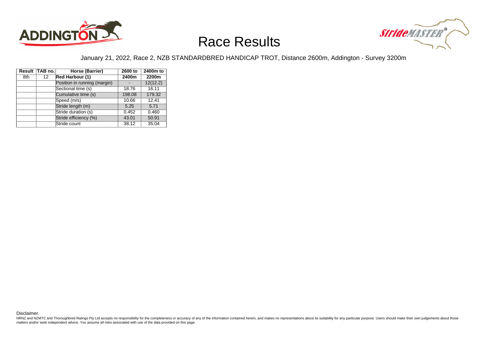



#### January 21, 2022, Race 2, NZB STANDARDBRED HANDICAP TROT, Distance 2600m, Addington - Survey 3200m

|     | Result TAB no. | Horse (Barrier)              | 2600 to | 2400m to |
|-----|----------------|------------------------------|---------|----------|
| 8th | 12             | Red Harbour (1)              | 2400m   | 2200m    |
|     |                | Position in running (margin) |         | 12(12.2) |
|     |                | Sectional time (s)           | 18.76   | 16.11    |
|     |                | Cumulative time (s)          | 198.08  | 179.32   |
|     |                | Speed (m/s)                  | 10.66   | 12.41    |
|     |                | Stride length (m)            | 5.25    | 5.71     |
|     |                | Stride duration (s)          | 0.452   | 0.460    |
|     |                | Stride efficiency (%)        | 43.01   | 50.91    |
|     |                | Stride count                 | 38.12   | 35.04    |

Disclaimer.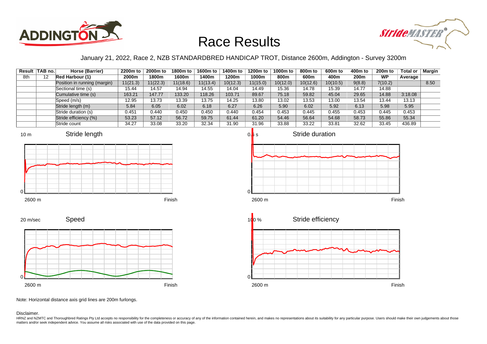



### January 21, 2022, Race 2, NZB STANDARDBRED HANDICAP TROT, Distance 2600m, Addington - Survey 3200m

|     | Result TAB no. | Horse (Barrier)              | 2200m to | 2000m to | 1800m to | 1600m to | 1400m to | 1200m to | 1000m to | 800m to  | 600m to  | 400m to          | 200 <sub>m</sub> to | <b>Total or</b> | Margin |
|-----|----------------|------------------------------|----------|----------|----------|----------|----------|----------|----------|----------|----------|------------------|---------------------|-----------------|--------|
| 8th | 12             | Red Harbour (1)              | 2000m    | 1800m    | 1600m    | l 400m   | 1200m    | 1000m    | 800m     | 600m     | 400m     | 200 <sub>m</sub> | <b>WP</b>           | Average         |        |
|     |                | Position in running (margin) | 11(21.3) | 11(22.3) | 11(18.6) | 11(13.4) | 10(12.3) | 11(15.0) | 10(12.0) | 10(12.6) | 10(10.5) | 9(8.8)           | 7(10.2)             |                 | 8.50   |
|     |                | Sectional time (s)           | 15.44    | 14.57    | 14.94    | 14.55    | 14.04    | 14.49    | 15.36    | 14.78    | 15.39    | 14.77            | 14.88               |                 |        |
|     |                | Cumulative time (s)          | 163.21   | 147.77   | 133.20   | 118.26   | 103.71   | 89.67    | 75.18    | 59.82    | 45.04    | 29.65            | 14.88               | 3:18.08         |        |
|     |                | Speed (m/s)                  | 12.95    | 13.73    | 13.39    | 13.75    | 14.25    | 13.80    | 13.02    | 13.53    | 13.00    | 13.54            | 13.44               | 13.13           |        |
|     |                | Stride length (m)            | 5.84     | 6.05     | 6.02     | 6.18     | 6.27     | 6.26     | 5.90     | 6.02     | 5.92     | 6.13             | 5.98                | 5.95            |        |
|     |                | Stride duration (s)          | 0.451    | 0.440    | 0.450    | 0.450    | 0.440    | 0.454    | 0.453    | 0.445    | 0.455    | 0.453            | 0.445               | 0.453           |        |
|     |                | Stride efficiency (%)        | 53.23    | 57.12    | 56.72    | 59.75    | 61.44    | 61.20    | 54.46    | 56.64    | 54.68    | 58.73            | 55.86               | 55.34           |        |
|     |                | Stride count                 | 34.27    | 33.08    | 33.20    | 32.34    | 31.90    | 31.96    | 33.88    | 33.22    | 33.81    | 32.62            | 33.45               | 436.89          |        |













Note: Horizontal distance axis grid lines are 200m furlongs.

Disclaimer.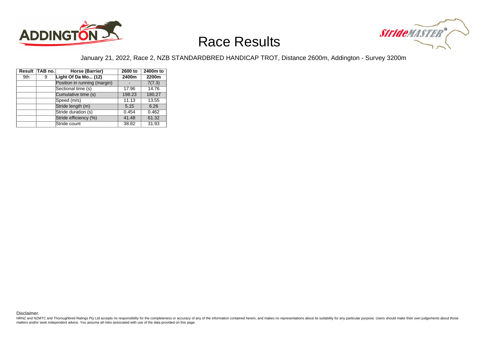



#### January 21, 2022, Race 2, NZB STANDARDBRED HANDICAP TROT, Distance 2600m, Addington - Survey 3200m

|     | Result TAB no. | Horse (Barrier)              | 2600 to | 2400m to |
|-----|----------------|------------------------------|---------|----------|
| 9th | 9              | Light Of Da Mo (12)          | 2400m   | 2200m    |
|     |                | Position in running (margin) |         | 7(7.3)   |
|     |                | Sectional time (s)           | 17.96   | 14.76    |
|     |                | Cumulative time (s)          | 198.23  | 180.27   |
|     |                | Speed (m/s)                  | 11.13   | 13.55    |
|     |                | Stride length (m)            | 5.15    | 6.26     |
|     |                | Stride duration (s)          | 0.454   | 0.462    |
|     |                | Stride efficiency (%)        | 41.48   | 61.32    |
|     |                | Stride count                 | 38.82   | 31.93    |

Disclaimer.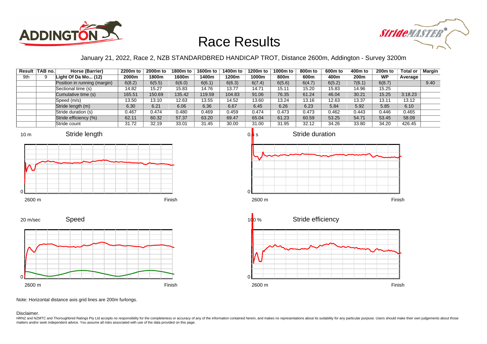



### January 21, 2022, Race 2, NZB STANDARDBRED HANDICAP TROT, Distance 2600m, Addington - Survey 3200m

|     | Result   TAB no. | Horse (Barrier)              | 2200m to | 2000m to | 1800m to | 1600m to | 1400m to | 1200m to | 1000m to | 800m to | 600m to | 400m to | 200 <sub>m</sub> to | <b>Total or</b> | Margin |
|-----|------------------|------------------------------|----------|----------|----------|----------|----------|----------|----------|---------|---------|---------|---------------------|-----------------|--------|
| 9th |                  | Light Of Da Mo $(12)$        | 2000m    | 1800m    | 1600m    | l 400m   | 1200m    | 1000m    | 800m     | 600m    | 400m    | 200m    | <b>WP</b>           | Average         |        |
|     |                  | Position in running (margin) | 6(8.2)   | 6(5.5)   | 6(6.0)   | 6(6.1)   | 6(6.3)   | 6(7.4)   | 6(5.6)   | 6(4.7)  | 6(5.2)  | 7(6.1)  | 6(8.7)              |                 | 9.40   |
|     |                  | Sectional time (s)           | 14.82    | 15.27    | 15.83    | 14.76    | 13.77    | 14.71    | 15.11    | 15.20   | 15.83   | 14.96   | 15.25               |                 |        |
|     |                  | Cumulative time (s)          | 165.51   | 150.69   | 135.42   | 119.59   | 104.83   | 91.06    | 76.35    | 61.24   | 46.04   | 30.21   | 15.25               | 3:18.23         |        |
|     |                  | Speed (m/s)                  | 13.50    | 13.10    | 12.63    | 13.55    | 14.52    | 13.60    | 13.24    | 13.16   | 12.63   | 13.37   | 13.11               | 13.12           |        |
|     |                  | Stride length (m)            | 6.30     | 6.21     | 6.06     | 6.36     | 6.67     | 6.45     | 6.26     | 6.23    | 5.84    | 5.92    | 5.85                | 6.10            |        |
|     |                  | Stride duration (s)          | 0.467    | 0.474    | 0.480    | 0.469    | 0.459    | 0.474    | 0.473    | 0.473   | 0.462   | 0.443   | 0.446               | 0.465           |        |
|     |                  | Stride efficiency (%)        | 62.11    | 60.32    | 57.37    | 63.20    | 69.47    | 65.04    | 61.23    | 60.59   | 53.25   | 54.71   | 53.45               | 58.09           |        |
|     |                  | Stride count                 | 31.72    | 32.19    | 33.01    | 31.45    | 30.00    | 31.00    | 31.95    | 32.12   | 34.26   | 33.80   | 34.20               | 426.45          |        |











Note: Horizontal distance axis grid lines are 200m furlongs.

Disclaimer.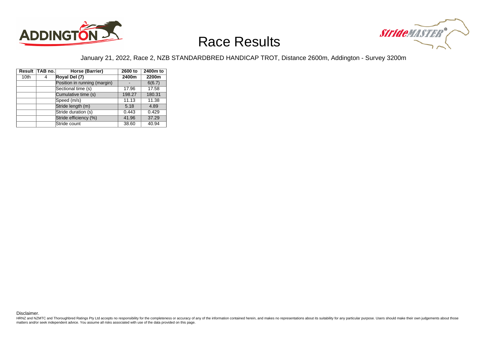



#### January 21, 2022, Race 2, NZB STANDARDBRED HANDICAP TROT, Distance 2600m, Addington - Survey 3200m

|                  | Result TAB no. | Horse (Barrier)              | 2600 to | 2400m to |
|------------------|----------------|------------------------------|---------|----------|
| 10 <sub>th</sub> | 4              | Royal Del (7)                | 2400m   | 2200m    |
|                  |                | Position in running (margin) |         | 6(6.7)   |
|                  |                | Sectional time (s)           | 17.96   | 17.58    |
|                  |                | Cumulative time (s)          | 198.27  | 180.31   |
|                  |                | Speed (m/s)                  | 11.13   | 11.38    |
|                  |                | Stride length (m)            | 5.18    | 4.89     |
|                  |                | Stride duration (s)          | 0.443   | 0.429    |
|                  |                | Stride efficiency (%)        | 41.96   | 37.29    |
|                  |                | Stride count                 | 38.60   | 40.94    |

Disclaimer.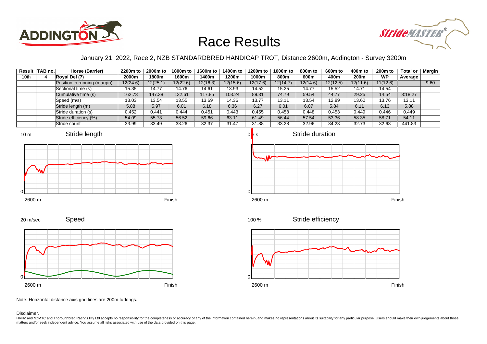



### January 21, 2022, Race 2, NZB STANDARDBRED HANDICAP TROT, Distance 2600m, Addington - Survey 3200m

|      | Result TAB no. | Horse (Barrier)              | 2200m to | 2000m to | 1800m to | 1600m to | 1400m to | 1200m to | 1000m to | 800m to  | 600m to  | 400m to          | 200 <sub>m</sub> to | Total or | <b>Margin</b> |
|------|----------------|------------------------------|----------|----------|----------|----------|----------|----------|----------|----------|----------|------------------|---------------------|----------|---------------|
| 10th |                | Royal Del (7)                | 2000m    | 1800m    | 1600m    | 1400m    | 1200m    | 1000m    | 800m     | 600m     | 400m     | 200 <sub>m</sub> | <b>WP</b>           | Average  |               |
|      |                | Position in running (margin) | 12(24.6) | 12(25.1) | 12(22.6) | 12(16.3) | 12(15.6) | 12(17.6) | 12(14.7) | 12(14.6) | 12(12.5) | 12(11.6)         | 11(12.6)            |          | 9.60          |
|      |                | Sectional time (s)           | 15.35    | 14.77    | 14.76    | 14.61    | 13.93    | 14.52    | 15.25    | 14.77    | 15.52    | 14.71            | 14.54               |          |               |
|      |                | Cumulative time (s)          | 162.73   | 147.38   | 132.61   | 17.85    | 103.24   | 89.31    | 74.79    | 59.54    | 44.77    | 29.25            | 14.54               | 3:18.27  |               |
|      |                | Speed (m/s)                  | 13.03    | 13.54    | 13.55    | 13.69    | 14.36    | 13.77    | 13.11    | 13.54    | 12.89    | 13.60            | 13.76               | 13.11    |               |
|      |                | Stride length (m)            | 5.88     | 5.97     | 6.01     | 6.18     | 6.36     | 6.27     | 6.01     | 6.07     | 5.84     | 6.11             | 6.13                | 5.88     |               |
|      |                | Stride duration (s)          | 0.452    | 0.441    | 0.444    | 0.451    | 0.443    | 0.455    | 0.458    | 0.448    | 0.453    | 0.449            | 0.446               | 0.449    |               |
|      |                | Stride efficiency (%)        | 54.09    | 55.73    | 56.52    | 59.66    | 63.11    | 61.49    | 56.44    | 57.54    | 53.36    | 58.35            | 58.71               | 54.11    |               |
|      |                | Stride count                 | 33.99    | 33.49    | 33.26    | 32.37    | 31.47    | 31.88    | 33.28    | 32.96    | 34.23    | 32.73            | 32.63               | 441.83   |               |











Note: Horizontal distance axis grid lines are 200m furlongs.

Speed

#### Disclaimer.

0

20 m/sec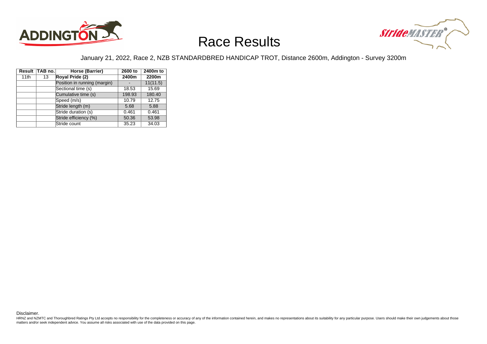



#### January 21, 2022, Race 2, NZB STANDARDBRED HANDICAP TROT, Distance 2600m, Addington - Survey 3200m

|      | Result TAB no. | Horse (Barrier)              | 2600 to | 2400m to |
|------|----------------|------------------------------|---------|----------|
| 11th | 13             | Royal Pride (2)              | 2400m   | 2200m    |
|      |                | Position in running (margin) |         | 11(11.5) |
|      |                | Sectional time (s)           | 18.53   | 15.69    |
|      |                | Cumulative time (s)          | 198.93  | 180.40   |
|      |                | Speed (m/s)                  | 10.79   | 12.75    |
|      |                | Stride length (m)            | 5.68    | 5.88     |
|      |                | Stride duration (s)          | 0.461   | 0.461    |
|      |                | Stride efficiency (%)        | 50.36   | 53.98    |
|      |                | Stride count                 | 35.23   | 34.03    |

Disclaimer.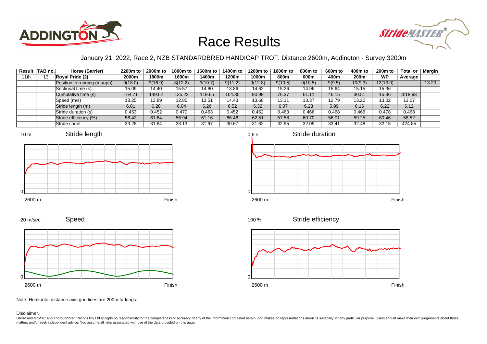



### January 21, 2022, Race 2, NZB STANDARDBRED HANDICAP TROT, Distance 2600m, Addington - Survey 3200m

|      | Result TAB no. | Horse (Barrier)              | 2200m to | 2000m to | 1800m to | 1600m to | 1400m to | 1200m to | 1000m to | 800m to | 600m to | 400m to          | 200 <sub>m</sub> to | <b>Total or</b> | Margin |
|------|----------------|------------------------------|----------|----------|----------|----------|----------|----------|----------|---------|---------|------------------|---------------------|-----------------|--------|
| 11th | 13             | Royal Pride (2)              | 2000m    | 1800m    | 1600m    | l 400m   | 1200m    | 1000m    | 800m     | 600m    | 400m    | 200 <sub>m</sub> | <b>WP</b>           | Average         |        |
|      |                | Position in running (margin) | 9(18.0)  | 9(16.9)  | 8(12.2)  | 9(10.7)  | 9(11.2)  | 9(12.8)  | 9(10.5)  | 9(10.5) | 9(9.5)  | 10(9.3)          | 12(13.0)            |                 | 13.20  |
|      |                | Sectional time (s)           | 15.09    | 14.40    | 15.57    | 14.80    | 13.86    | 14.62    | 15.26    | 14.96   | 15.64   | 15.15            | 15.36               |                 |        |
|      |                | Cumulative time (s)          | 164.71   | 149.62   | 135.22   | 119.65   | 104.85   | 90.99    | 76.37    | 61.11   | 46.15   | 30.51            | 15.36               | 3:18.93         |        |
|      |                | Speed (m/s)                  | 13.25    | 13.89    | 12.85    | 13.51    | 14.43    | 13.68    | 13.11    | 13.37   | 12.79   | 13.20            | 13.02               | 13.07           |        |
|      |                | Stride length (m)            | 6.01     | 6.28     | 6.04     | 6.26     | 6.52     | 6.32     | 6.07     | 6.23    | 5.99    | 6.16             | 6.22                | 6.12            |        |
|      |                | Stride duration (s)          | 0.453    | 0.452    | 0.470    | 0.463    | 0.452    | 0.462    | 0.463    | 0.466   | 0.468   | 0.466            | 0.478               | 0.468           |        |
|      |                | Stride efficiency (%)        | 56.42    | 61.64    | 56.94    | 61.16    | 66.46    | 62.51    | 57.58    | 60.70   | 56.01   | 59.25            | 60.46               | 58.52           |        |
|      |                | Stride count                 | 33.28    | 31.84    | 33.13    | 31.97    | 30.67    | 31.62    | 32.95    | 32.09   | 33.41   | 32.48            | 32.15               | 424.85          |        |







Stride efficiency 100 %



Note: Horizontal distance axis grid lines are 200m furlongs.

Disclaimer.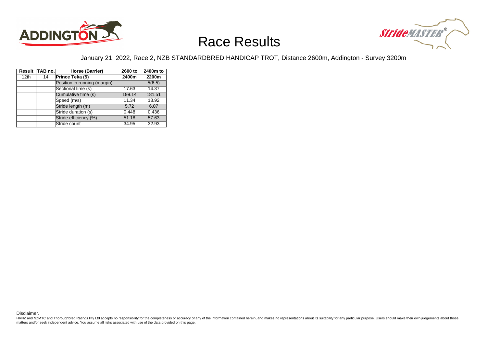



#### January 21, 2022, Race 2, NZB STANDARDBRED HANDICAP TROT, Distance 2600m, Addington - Survey 3200m

|                  | Result TAB no. | Horse (Barrier)              | 2600 to | 2400m to |
|------------------|----------------|------------------------------|---------|----------|
| 12 <sub>th</sub> | 14             | Prince Teka (5)              | 2400m   | 2200m    |
|                  |                | Position in running (margin) |         | 5(6.5)   |
|                  |                | Sectional time (s)           | 17.63   | 14.37    |
|                  |                | Cumulative time (s)          | 199.14  | 181.51   |
|                  |                | Speed (m/s)                  | 11.34   | 13.92    |
|                  |                | Stride length (m)            | 5.72    | 6.07     |
|                  |                | Stride duration (s)          | 0.448   | 0.436    |
|                  |                | Stride efficiency (%)        | 51.18   | 57.63    |
|                  |                | Stride count                 | 34.95   | 32.93    |

Disclaimer.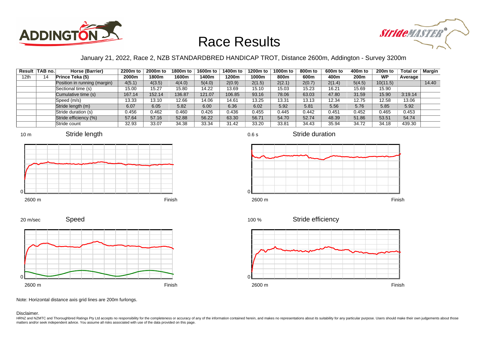



### January 21, 2022, Race 2, NZB STANDARDBRED HANDICAP TROT, Distance 2600m, Addington - Survey 3200m

0.6 s

 $\Omega$ 

|      | Result TAB no. | Horse (Barrier)              | 2200m to | 2000m to | 1800m to | 1600m to | 1400m to | 1200m to | 1000m to | 800m to | 600m to | 400m to          | $200m$ to | Total or | Margin |
|------|----------------|------------------------------|----------|----------|----------|----------|----------|----------|----------|---------|---------|------------------|-----------|----------|--------|
| 12th | 14             | Prince Teka (5)              | 2000m    | 1800m    | 1600m    | 1400m    | 1200m    | 1000m    | 800m     | 600m    | 400m    | 200 <sub>m</sub> | <b>WP</b> | Average  |        |
|      |                | Position in running (margin) | 4(5.1)   | 4(3.5)   | 4(4.0)   | 5(4.0)   | 2(0.9)   | 2(1.5)   | 2(2.1)   | 2(0.7)  | 2(1.4)  | 5(4.5)           | 10(11.5)  |          | 14.40  |
|      |                | Sectional time (s)           | 15.00    | 15.27    | 15.80    | 14.22    | 13.69    | 15.10    | 15.03    | 15.23   | 16.21   | 15.69            | 15.90     |          |        |
|      |                | Cumulative time (s)          | 167.14   | 152.14   | 136.87   | 121.07   | 106.85   | 93.16    | 78.06    | 63.03   | 47.80   | 31.59            | 15.90     | 3:19.14  |        |
|      |                | Speed (m/s)                  | 13.33    | 13.10    | 12.66    | 14.06    | 14.61    | 13.25    | 13.31    | 13.13   | 12.34   | 12.75            | 12.58     | 13.06    |        |
|      |                | Stride length (m)            | 6.07     | 6.05     | 5.82     | 6.00     | 6.36     | 6.02     | 5.92     | 5.81    | 5.56    | 5.76             | 5.85      | 5.92     |        |
|      |                | Stride duration (s)          | 0.456    | 0.462    | 0.460    | 0.426    | 0.436    | 0.455    | 0.445    | 0.442   | 0.451   | 0.452            | 0.465     | 0.453    |        |
|      |                | Stride efficiency (%)        | 57.64    | 57.16    | 52.88    | 56.22    | 63.30    | 56.71    | 54.70    | 52.74   | 48.39   | 51.86            | 53.51     | 54.74    |        |
|      |                | Stride count                 | 32.93    | 33.07    | 34.38    | 33.34    | 31.42    | 33.20    | 33.81    | 34.43   | 35.94   | 34.72            | 34.18     | 439.30   |        |









Stride duration









20 m/sec





Note: Horizontal distance axis grid lines are 200m furlongs.

#### Disclaimer.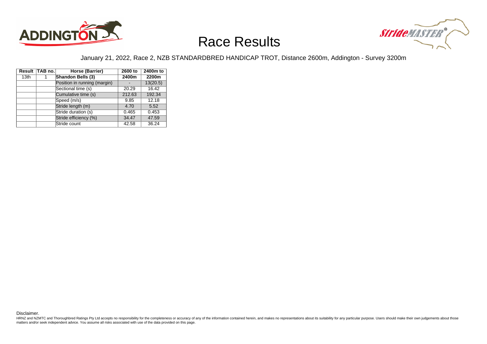



#### January 21, 2022, Race 2, NZB STANDARDBRED HANDICAP TROT, Distance 2600m, Addington - Survey 3200m

|                  | Result TAB no. | Horse (Barrier)              | 2600 to | 2400m to |
|------------------|----------------|------------------------------|---------|----------|
| 13 <sub>th</sub> |                | Shandon Bells (3)            | 2400m   | 2200m    |
|                  |                | Position in running (margin) |         | 13(20.5) |
|                  |                | Sectional time (s)           | 20.29   | 16.42    |
|                  |                | Cumulative time (s)          | 212.63  | 192.34   |
|                  |                | Speed (m/s)                  | 9.85    | 12.18    |
|                  |                | Stride length (m)            | 4.70    | 5.52     |
|                  |                | Stride duration (s)          | 0.465   | 0.453    |
|                  |                | Stride efficiency (%)        | 34.47   | 47.59    |
|                  |                | Stride count                 | 42.58   | 36.24    |

Disclaimer.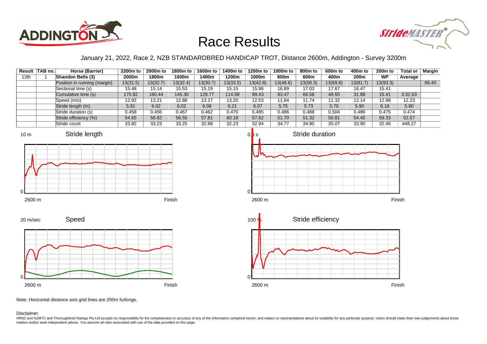



### January 21, 2022, Race 2, NZB STANDARDBRED HANDICAP TROT, Distance 2600m, Addington - Survey 3200m

|      | Result TAB no. | Horse (Barrier)              | 2200m to | 2000m to | 1800m to | 1600m to | 1400m to | 1200m to | 1000m to | 800m to  | 600m to  | 400m to  | 200 <sub>m</sub> to | <b>Total or</b> | <b>Margin</b> |
|------|----------------|------------------------------|----------|----------|----------|----------|----------|----------|----------|----------|----------|----------|---------------------|-----------------|---------------|
| 13th |                | Shandon Bells (3)            | 2000m    | 1800m    | 1600m    | l 400m   | 1200m    | 1000m    | 800m     | 600m     | 400m     | 200m     | <b>WP</b>           | Average         |               |
|      |                | Position in running (margin) | 13(31.5) | 13(32.7) | 13(32.4) | 13(30.7) | 13(33.5) | 13(42.8) | 13(48.6) | 13(58.3) | 13(69.8) | 13(81.7) | 13(93.3)            |                 | 89.40         |
|      |                | Sectional time (s)           | 15.48    | 15.14    | 15.53    | 15.19    | 15.15    | 15.96    | 16.89    | 17.03    | 17.67    | 16.47    | 15.41               |                 |               |
|      |                | Cumulative time (s)          | 175.92   | 160.44   | 145.30   | 129.77   | 114.58   | 99.43    | 83.47    | 66.58    | 49.55    | 31.88    | 15.41               | 3:32.63         |               |
|      |                | Speed (m/s)                  | 12.92    | 13.21    | 12.88    | 13.17    | 13.20    | 12.53    | 11.84    | 11.74    | 11.32    | 12.14    | 12.98               | 12.23           |               |
|      |                | Stride length (m)            | 5.91     | 6.02     | 6.02     | 6.08     | 6.21     | 6.07     | 5.75     | 5.73     | 5.70     | 5.90     | 6.16                | 5.80            |               |
|      |                | Stride duration (s)          | 0.458    | 0.456    | 0.467    | 0.462    | 0.470    | 0.485    | 0.486    | 0.488    | 0.504    | 0.486    | 0.475               | 0.474           |               |
|      |                | Stride efficiency (%)        | 54.65    | 56.62    | 56.55    | 57.81    | 60.18    | 57.62    | 51.70    | 51.32    | 50.81    | 54.40    | 59.33               | 52.57           |               |
|      |                | Stride count                 | 33.82    | 33.23    | 33.25    | 32.88    | 32.23    | 32.94    | 34.77    | 34.90    | 35.07    | 33.90    | 32.46               | 448.27          |               |







Speed 20 m/sec



Note: Horizontal distance axis grid lines are 200m furlongs.

Disclaimer.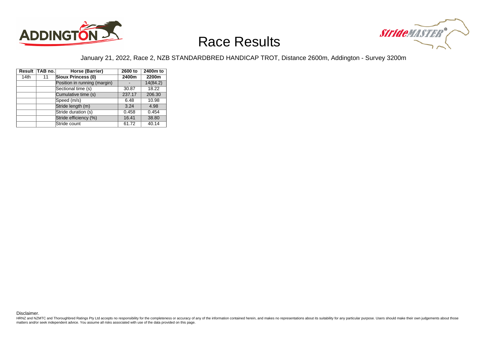



#### January 21, 2022, Race 2, NZB STANDARDBRED HANDICAP TROT, Distance 2600m, Addington - Survey 3200m

|      | Result TAB no. | Horse (Barrier)              | 2600 to | 2400m to |
|------|----------------|------------------------------|---------|----------|
| 14th | 11             | Sioux Princess (0)           | 2400m   | 2200m    |
|      |                | Position in running (margin) |         | 14(84.2) |
|      |                | Sectional time (s)           | 30.87   | 18.22    |
|      |                | Cumulative time (s)          | 237.17  | 206.30   |
|      |                | Speed (m/s)                  | 6.48    | 10.98    |
|      |                | Stride length (m)            | 3.24    | 4.98     |
|      |                | Stride duration (s)          | 0.458   | 0.454    |
|      |                | Stride efficiency (%)        | 16.41   | 38.80    |
|      |                | Stride count                 | 61.72   | 40.14    |

Disclaimer.